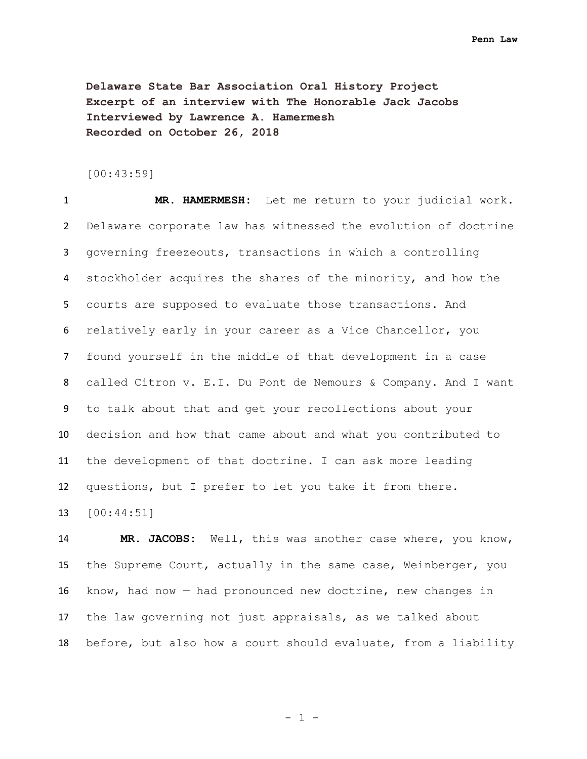**Delaware State Bar Association Oral History Project Excerpt of an interview with The Honorable Jack Jacobs Interviewed by Lawrence A. Hamermesh Recorded on October 26, 2018**

[00:43:59]

 **MR. HAMERMESH:** Let me return to your judicial work. Delaware corporate law has witnessed the evolution of doctrine governing freezeouts, transactions in which a controlling stockholder acquires the shares of the minority, and how the courts are supposed to evaluate those transactions. And relatively early in your career as a Vice Chancellor, you found yourself in the middle of that development in a case called Citron v. E.I. Du Pont de Nemours & Company. And I want to talk about that and get your recollections about your decision and how that came about and what you contributed to the development of that doctrine. I can ask more leading questions, but I prefer to let you take it from there. [00:44:51]

 **MR. JACOBS:** Well, this was another case where, you know, the Supreme Court, actually in the same case, Weinberger, you know, had now — had pronounced new doctrine, new changes in the law governing not just appraisals, as we talked about before, but also how a court should evaluate, from a liability

- 1 -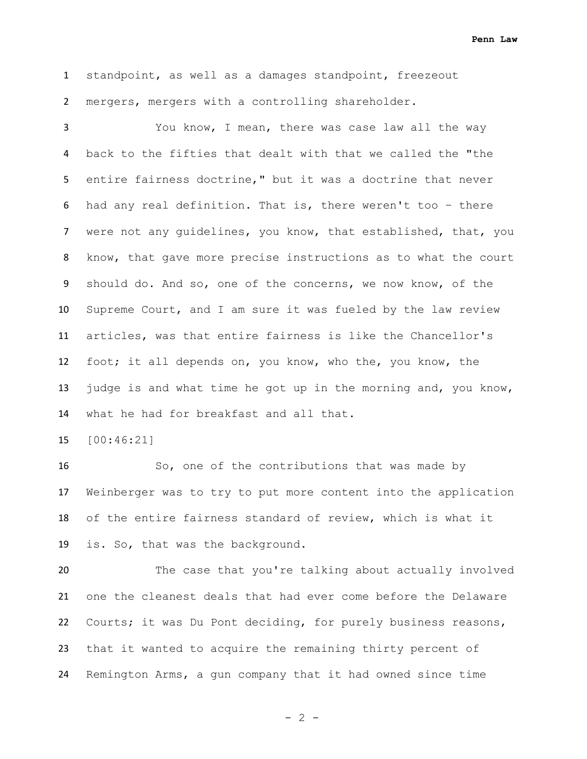standpoint, as well as a damages standpoint, freezeout mergers, mergers with a controlling shareholder.

 You know, I mean, there was case law all the way back to the fifties that dealt with that we called the "the entire fairness doctrine," but it was a doctrine that never had any real definition. That is, there weren't too – there were not any guidelines, you know, that established, that, you know, that gave more precise instructions as to what the court should do. And so, one of the concerns, we now know, of the Supreme Court, and I am sure it was fueled by the law review articles, was that entire fairness is like the Chancellor's foot; it all depends on, you know, who the, you know, the judge is and what time he got up in the morning and, you know, what he had for breakfast and all that.

[00:46:21]

 So, one of the contributions that was made by Weinberger was to try to put more content into the application of the entire fairness standard of review, which is what it is. So, that was the background.

 The case that you're talking about actually involved one the cleanest deals that had ever come before the Delaware Courts; it was Du Pont deciding, for purely business reasons, that it wanted to acquire the remaining thirty percent of Remington Arms, a gun company that it had owned since time

 $- 2 -$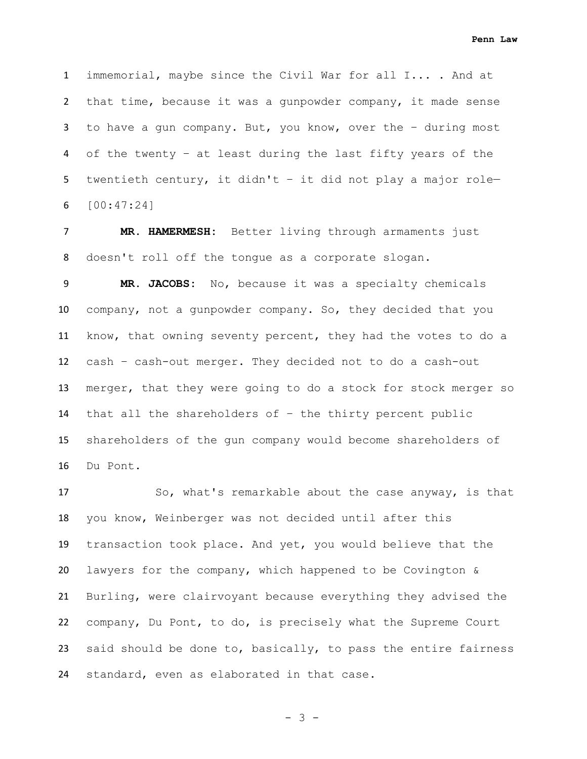immemorial, maybe since the Civil War for all I... . And at that time, because it was a gunpowder company, it made sense to have a gun company. But, you know, over the – during most of the twenty – at least during the last fifty years of the twentieth century, it didn't – it did not play a major role— [00:47:24]

 **MR. HAMERMESH:** Better living through armaments just doesn't roll off the tongue as a corporate slogan.

 **MR. JACOBS:** No, because it was a specialty chemicals company, not a gunpowder company. So, they decided that you know, that owning seventy percent, they had the votes to do a cash – cash-out merger. They decided not to do a cash-out merger, that they were going to do a stock for stock merger so that all the shareholders of – the thirty percent public shareholders of the gun company would become shareholders of Du Pont.

17 So, what's remarkable about the case anyway, is that you know, Weinberger was not decided until after this transaction took place. And yet, you would believe that the lawyers for the company, which happened to be Covington & Burling, were clairvoyant because everything they advised the company, Du Pont, to do, is precisely what the Supreme Court said should be done to, basically, to pass the entire fairness standard, even as elaborated in that case.

- 3 -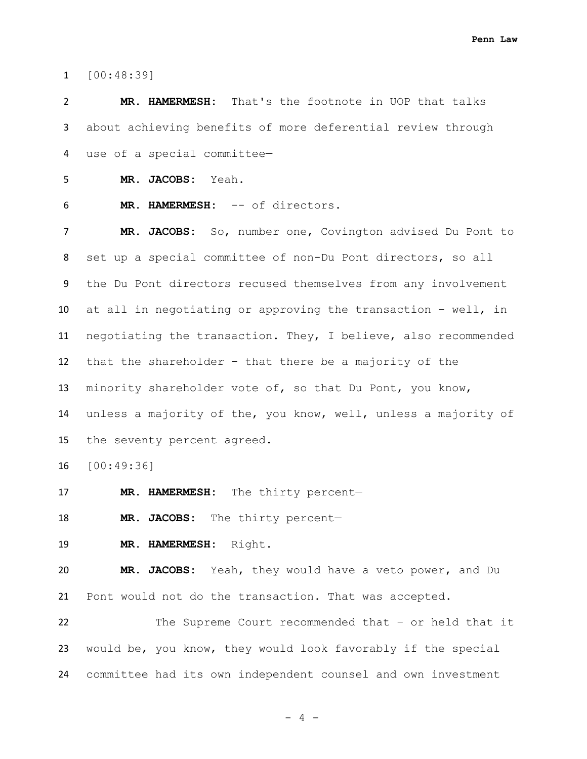[00:48:39]

 **MR. HAMERMESH:** That's the footnote in UOP that talks about achieving benefits of more deferential review through use of a special committee—

**MR. JACOBS:** Yeah.

**MR. HAMERMESH:** -- of directors.

 **MR. JACOBS:** So, number one, Covington advised Du Pont to set up a special committee of non-Du Pont directors, so all the Du Pont directors recused themselves from any involvement at all in negotiating or approving the transaction – well, in negotiating the transaction. They, I believe, also recommended that the shareholder – that there be a majority of the minority shareholder vote of, so that Du Pont, you know, unless a majority of the, you know, well, unless a majority of the seventy percent agreed.

[00:49:36]

**MR. HAMERMESH:** The thirty percent—

**MR. JACOBS:** The thirty percent-

**MR. HAMERMESH:** Right.

 **MR. JACOBS:** Yeah, they would have a veto power, and Du Pont would not do the transaction. That was accepted.

 The Supreme Court recommended that – or held that it would be, you know, they would look favorably if the special committee had its own independent counsel and own investment

- 4 -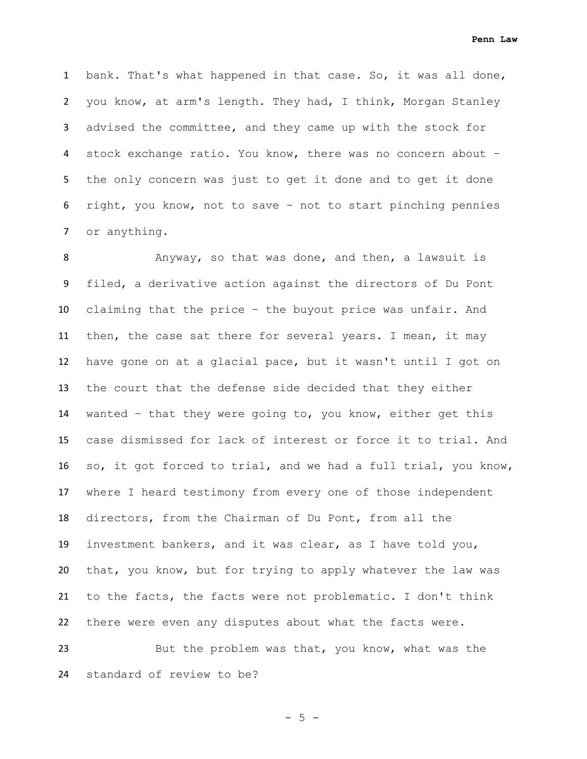bank. That's what happened in that case. So, it was all done, you know, at arm's length. They had, I think, Morgan Stanley advised the committee, and they came up with the stock for stock exchange ratio. You know, there was no concern about – the only concern was just to get it done and to get it done right, you know, not to save – not to start pinching pennies or anything.

 Anyway, so that was done, and then, a lawsuit is filed, a derivative action against the directors of Du Pont claiming that the price – the buyout price was unfair. And then, the case sat there for several years. I mean, it may have gone on at a glacial pace, but it wasn't until I got on the court that the defense side decided that they either wanted – that they were going to, you know, either get this case dismissed for lack of interest or force it to trial. And so, it got forced to trial, and we had a full trial, you know, where I heard testimony from every one of those independent directors, from the Chairman of Du Pont, from all the investment bankers, and it was clear, as I have told you, that, you know, but for trying to apply whatever the law was to the facts, the facts were not problematic. I don't think there were even any disputes about what the facts were.

 But the problem was that, you know, what was the standard of review to be?

 $- 5 -$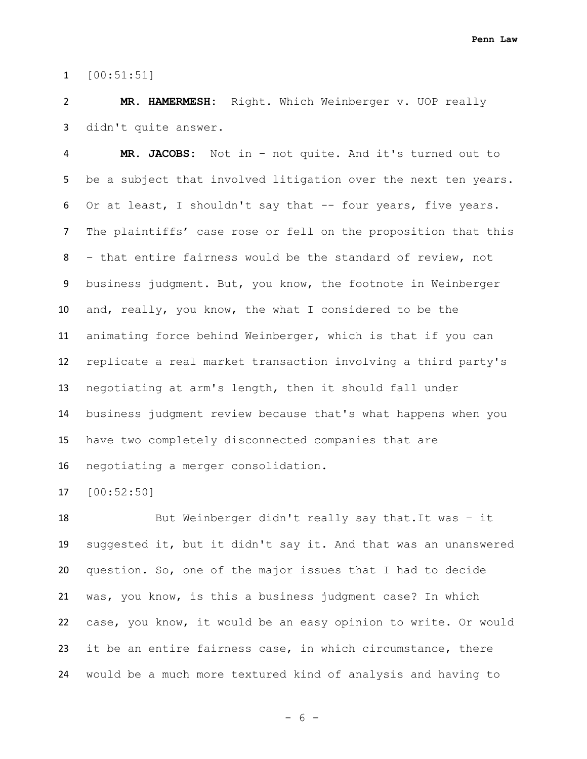[00:51:51]

 **MR. HAMERMESH:** Right. Which Weinberger v. UOP really didn't quite answer.

 **MR. JACOBS:** Not in – not quite. And it's turned out to be a subject that involved litigation over the next ten years. Or at least, I shouldn't say that -- four years, five years. The plaintiffs' case rose or fell on the proposition that this – that entire fairness would be the standard of review, not business judgment. But, you know, the footnote in Weinberger and, really, you know, the what I considered to be the animating force behind Weinberger, which is that if you can replicate a real market transaction involving a third party's negotiating at arm's length, then it should fall under business judgment review because that's what happens when you have two completely disconnected companies that are negotiating a merger consolidation.

[00:52:50]

 But Weinberger didn't really say that.It was – it suggested it, but it didn't say it. And that was an unanswered question. So, one of the major issues that I had to decide was, you know, is this a business judgment case? In which case, you know, it would be an easy opinion to write. Or would it be an entire fairness case, in which circumstance, there would be a much more textured kind of analysis and having to

- 6 -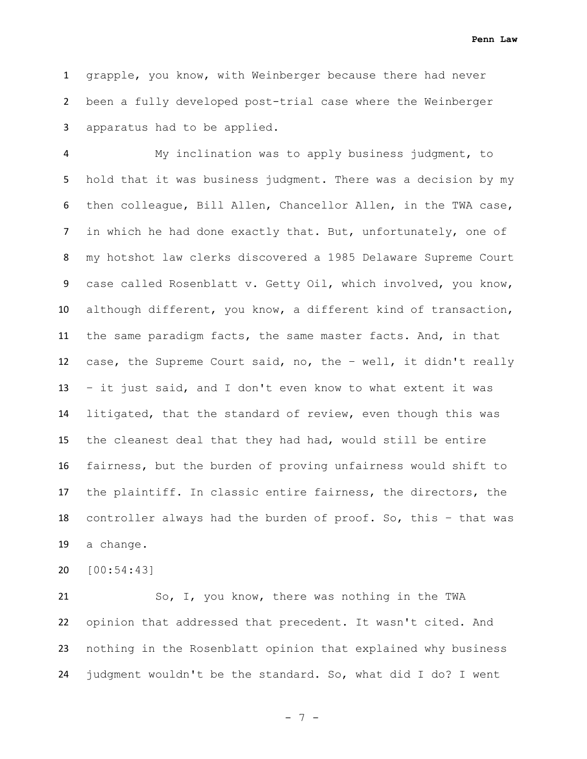grapple, you know, with Weinberger because there had never been a fully developed post-trial case where the Weinberger apparatus had to be applied.

 My inclination was to apply business judgment, to hold that it was business judgment. There was a decision by my then colleague, Bill Allen, Chancellor Allen, in the TWA case, in which he had done exactly that. But, unfortunately, one of my hotshot law clerks discovered a 1985 Delaware Supreme Court case called Rosenblatt v. Getty Oil, which involved, you know, although different, you know, a different kind of transaction, the same paradigm facts, the same master facts. And, in that case, the Supreme Court said, no, the – well, it didn't really – it just said, and I don't even know to what extent it was litigated, that the standard of review, even though this was the cleanest deal that they had had, would still be entire fairness, but the burden of proving unfairness would shift to the plaintiff. In classic entire fairness, the directors, the controller always had the burden of proof. So, this – that was a change.

[00:54:43]

 So, I, you know, there was nothing in the TWA opinion that addressed that precedent. It wasn't cited. And nothing in the Rosenblatt opinion that explained why business judgment wouldn't be the standard. So, what did I do? I went

- 7 -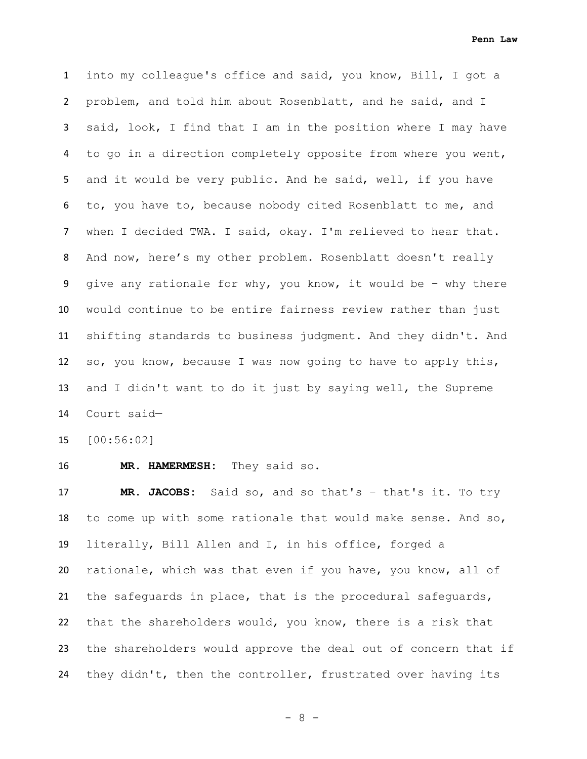into my colleague's office and said, you know, Bill, I got a problem, and told him about Rosenblatt, and he said, and I said, look, I find that I am in the position where I may have to go in a direction completely opposite from where you went, and it would be very public. And he said, well, if you have to, you have to, because nobody cited Rosenblatt to me, and when I decided TWA. I said, okay. I'm relieved to hear that. And now, here's my other problem. Rosenblatt doesn't really give any rationale for why, you know, it would be – why there would continue to be entire fairness review rather than just shifting standards to business judgment. And they didn't. And so, you know, because I was now going to have to apply this, and I didn't want to do it just by saying well, the Supreme Court said—

[00:56:02]

**MR. HAMERMESH:** They said so.

 **MR. JACOBS:** Said so, and so that's – that's it. To try to come up with some rationale that would make sense. And so, literally, Bill Allen and I, in his office, forged a rationale, which was that even if you have, you know, all of the safeguards in place, that is the procedural safeguards, that the shareholders would, you know, there is a risk that the shareholders would approve the deal out of concern that if they didn't, then the controller, frustrated over having its

- 8 -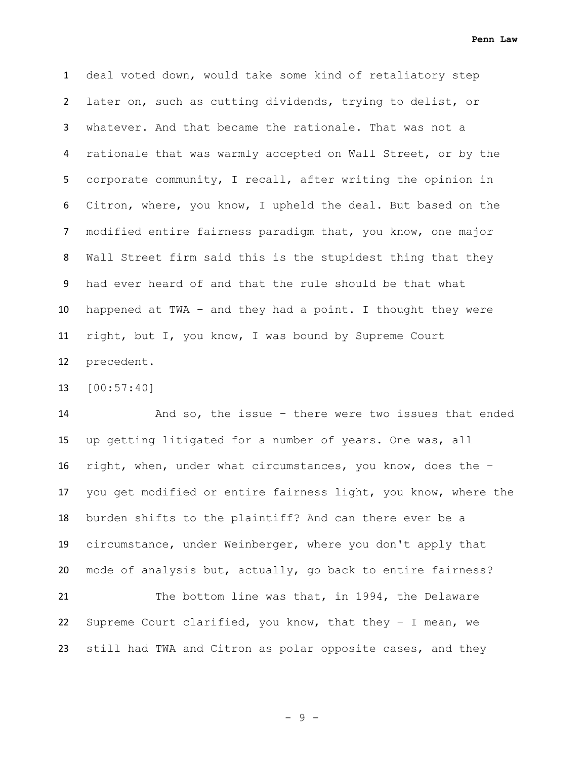deal voted down, would take some kind of retaliatory step later on, such as cutting dividends, trying to delist, or whatever. And that became the rationale. That was not a rationale that was warmly accepted on Wall Street, or by the corporate community, I recall, after writing the opinion in Citron, where, you know, I upheld the deal. But based on the modified entire fairness paradigm that, you know, one major Wall Street firm said this is the stupidest thing that they had ever heard of and that the rule should be that what happened at TWA – and they had a point. I thought they were right, but I, you know, I was bound by Supreme Court precedent.

[00:57:40]

 And so, the issue – there were two issues that ended up getting litigated for a number of years. One was, all right, when, under what circumstances, you know, does the – you get modified or entire fairness light, you know, where the burden shifts to the plaintiff? And can there ever be a circumstance, under Weinberger, where you don't apply that mode of analysis but, actually, go back to entire fairness?

21 The bottom line was that, in 1994, the Delaware Supreme Court clarified, you know, that they – I mean, we still had TWA and Citron as polar opposite cases, and they

- 9 -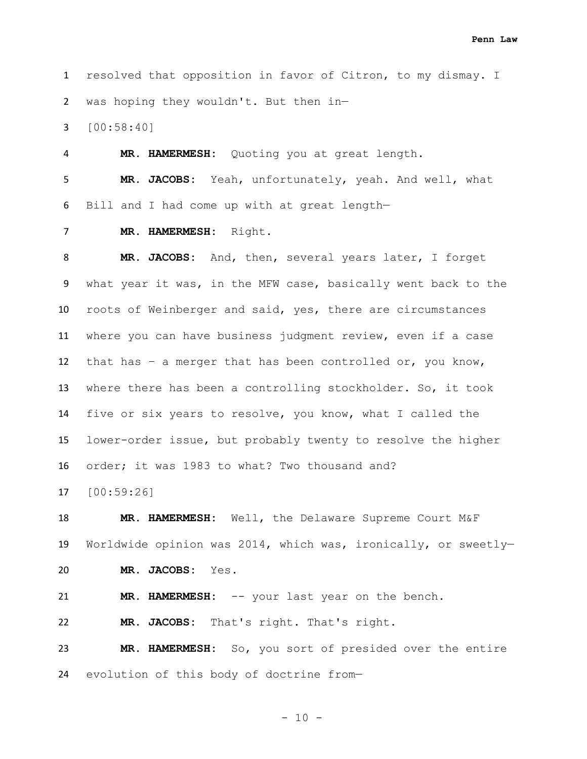resolved that opposition in favor of Citron, to my dismay. I was hoping they wouldn't. But then in—

[00:58:40]

 **MR. HAMERMESH:** Quoting you at great length. **MR. JACOBS:** Yeah, unfortunately, yeah. And well, what Bill and I had come up with at great length—

**MR. HAMERMESH:** Right.

 **MR. JACOBS:** And, then, several years later, I forget what year it was, in the MFW case, basically went back to the roots of Weinberger and said, yes, there are circumstances where you can have business judgment review, even if a case that has – a merger that has been controlled or, you know, where there has been a controlling stockholder. So, it took five or six years to resolve, you know, what I called the lower-order issue, but probably twenty to resolve the higher order; it was 1983 to what? Two thousand and?

[00:59:26]

 **MR. HAMERMESH:** Well, the Delaware Supreme Court M&F Worldwide opinion was 2014, which was, ironically, or sweetly—

**MR. JACOBS:** Yes.

**MR. HAMERMESH:** -- your last year on the bench.

**MR. JACOBS:** That's right. That's right.

 **MR. HAMERMESH:** So, you sort of presided over the entire evolution of this body of doctrine from—

- 10 -